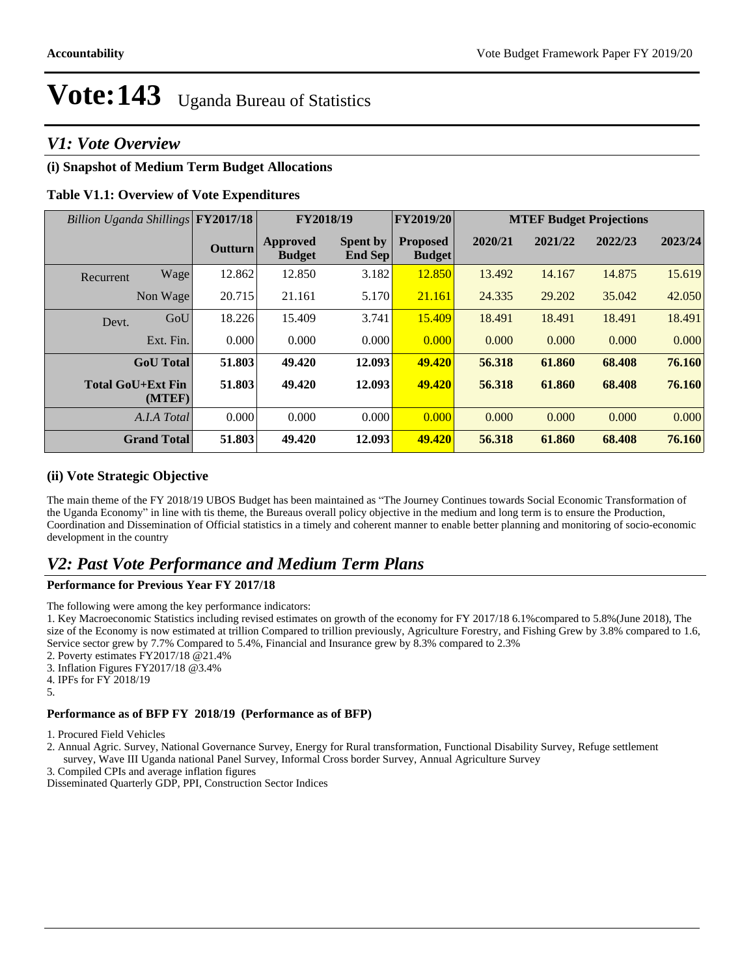## *V1: Vote Overview*

### **(i) Snapshot of Medium Term Budget Allocations**

#### **Table V1.1: Overview of Vote Expenditures**

| Billion Uganda Shillings FY2017/18 |                    |                | FY2018/19                        |                            | FY2019/20                        | <b>MTEF Budget Projections</b> |         |         |         |
|------------------------------------|--------------------|----------------|----------------------------------|----------------------------|----------------------------------|--------------------------------|---------|---------|---------|
|                                    |                    | <b>Outturn</b> | <b>Approved</b><br><b>Budget</b> | <b>Spent by</b><br>End Sep | <b>Proposed</b><br><b>Budget</b> | 2020/21                        | 2021/22 | 2022/23 | 2023/24 |
| Recurrent                          | Wage               | 12.862         | 12.850                           | 3.182                      | 12.850                           | 13.492                         | 14.167  | 14.875  | 15.619  |
|                                    | Non Wage           | 20.715         | 21.161                           | 5.170                      | 21.161                           | 24.335                         | 29.202  | 35.042  | 42.050  |
| Devt.                              | GoU                | 18.226         | 15.409                           | 3.741                      | 15.409                           | 18.491                         | 18.491  | 18.491  | 18.491  |
|                                    | Ext. Fin.          | 0.000          | 0.000                            | 0.000                      | 0.000                            | 0.000                          | 0.000   | 0.000   | 0.000   |
|                                    | <b>GoU</b> Total   | 51.803         | 49.420                           | 12.093                     | 49.420                           | 56.318                         | 61.860  | 68.408  | 76.160  |
| <b>Total GoU+Ext Fin</b>           | (MTEF)             | 51.803         | 49.420                           | 12.093                     | 49.420                           | 56.318                         | 61.860  | 68.408  | 76.160  |
|                                    | A.I.A Total        | 0.000          | 0.000                            | 0.000                      | 0.000                            | 0.000                          | 0.000   | 0.000   | 0.000   |
|                                    | <b>Grand Total</b> | 51.803         | 49.420                           | 12.093                     | 49.420                           | 56.318                         | 61.860  | 68.408  | 76.160  |

#### **(ii) Vote Strategic Objective**

The main theme of the FY 2018/19 UBOS Budget has been maintained as "The Journey Continues towards Social Economic Transformation of the Uganda Economy" in line with tis theme, the Bureaus overall policy objective in the medium and long term is to ensure the Production, Coordination and Dissemination of Official statistics in a timely and coherent manner to enable better planning and monitoring of socio-economic development in the country

## *V2: Past Vote Performance and Medium Term Plans*

#### **Performance for Previous Year FY 2017/18**

The following were among the key performance indicators:

1. Key Macroeconomic Statistics including revised estimates on growth of the economy for FY 2017/18 6.1%compared to 5.8%(June 2018), The size of the Economy is now estimated at trillion Compared to trillion previously, Agriculture Forestry, and Fishing Grew by 3.8% compared to 1.6, Service sector grew by 7.7% Compared to 5.4%, Financial and Insurance grew by 8.3% compared to 2.3%

2. Poverty estimates FY2017/18 @21.4%

3. Inflation Figures FY2017/18 @3.4%

4. IPFs for FY 2018/19 5.

### **Performance as of BFP FY 2018/19 (Performance as of BFP)**

1. Procured Field Vehicles

2. Annual Agric. Survey, National Governance Survey, Energy for Rural transformation, Functional Disability Survey, Refuge settlement survey, Wave III Uganda national Panel Survey, Informal Cross border Survey, Annual Agriculture Survey

3. Compiled CPIs and average inflation figures

Disseminated Quarterly GDP, PPI, Construction Sector Indices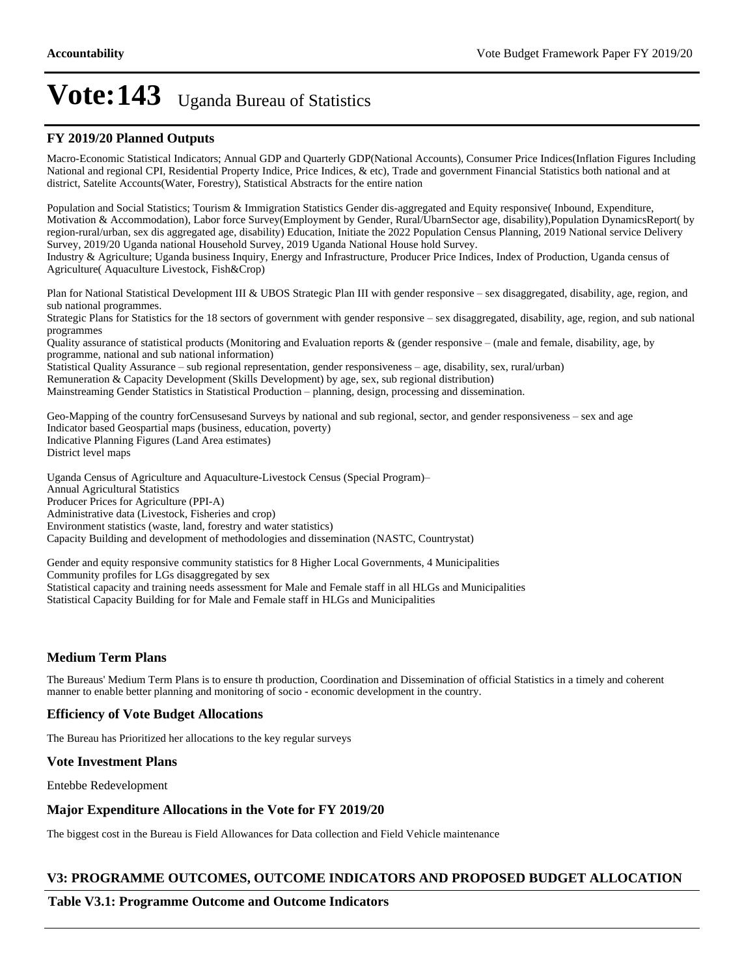#### **FY 2019/20 Planned Outputs**

Macro-Economic Statistical Indicators; Annual GDP and Quarterly GDP(National Accounts), Consumer Price Indices(Inflation Figures Including National and regional CPI, Residential Property Indice, Price Indices, & etc), Trade and government Financial Statistics both national and at district, Satelite Accounts(Water, Forestry), Statistical Abstracts for the entire nation

Population and Social Statistics; Tourism & Immigration Statistics Gender dis-aggregated and Equity responsive( Inbound, Expenditure, Motivation & Accommodation), Labor force Survey(Employment by Gender, Rural/UbarnSector age, disability),Population DynamicsReport( by region-rural/urban, sex dis aggregated age, disability) Education, Initiate the 2022 Population Census Planning, 2019 National service Delivery Survey, 2019/20 Uganda national Household Survey, 2019 Uganda National House hold Survey.

Industry & Agriculture; Uganda business Inquiry, Energy and Infrastructure, Producer Price Indices, Index of Production, Uganda census of Agriculture( Aquaculture Livestock, Fish&Crop)

Plan for National Statistical Development III & UBOS Strategic Plan III with gender responsive - sex disaggregated, disability, age, region, and sub national programmes.

Strategic Plans for Statistics for the 18 sectors of government with gender responsive - sex disaggregated, disability, age, region, and sub national programmes

Quality assurance of statistical products (Monitoring and Evaluation reports  $\&$  (gender responsive  $-$  (male and female, disability, age, by programme, national and sub national information)

Statistical Quality Assurance - sub regional representation, gender responsiveness - age, disability, sex, rural/urban)

Remuneration & Capacity Development (Skills Development) by age, sex, sub regional distribution)

Mainstreaming Gender Statistics in Statistical Production - planning, design, processing and dissemination.

Geo-Mapping of the country forCensusesand Surveys by national and sub regional, sector, and gender responsiveness – sex and age Indicator based Geospartial maps (business, education, poverty) Indicative Planning Figures (Land Area estimates) District level maps

Uganda Census of Agriculture and Aquaculture-Livestock Census (Special Program)± Annual Agricultural Statistics Producer Prices for Agriculture (PPI-A) Administrative data (Livestock, Fisheries and crop) Environment statistics (waste, land, forestry and water statistics) Capacity Building and development of methodologies and dissemination (NASTC, Countrystat)

Gender and equity responsive community statistics for 8 Higher Local Governments, 4 Municipalities Community profiles for LGs disaggregated by sex Statistical capacity and training needs assessment for Male and Female staff in all HLGs and Municipalities Statistical Capacity Building for for Male and Female staff in HLGs and Municipalities

#### **Medium Term Plans**

The Bureaus' Medium Term Plans is to ensure th production, Coordination and Dissemination of official Statistics in a timely and coherent manner to enable better planning and monitoring of socio - economic development in the country.

#### **Efficiency of Vote Budget Allocations**

The Bureau has Prioritized her allocations to the key regular surveys

#### **Vote Investment Plans**

Entebbe Redevelopment

#### **Major Expenditure Allocations in the Vote for FY 2019/20**

The biggest cost in the Bureau is Field Allowances for Data collection and Field Vehicle maintenance

#### **V3: PROGRAMME OUTCOMES, OUTCOME INDICATORS AND PROPOSED BUDGET ALLOCATION**

#### **Table V3.1: Programme Outcome and Outcome Indicators**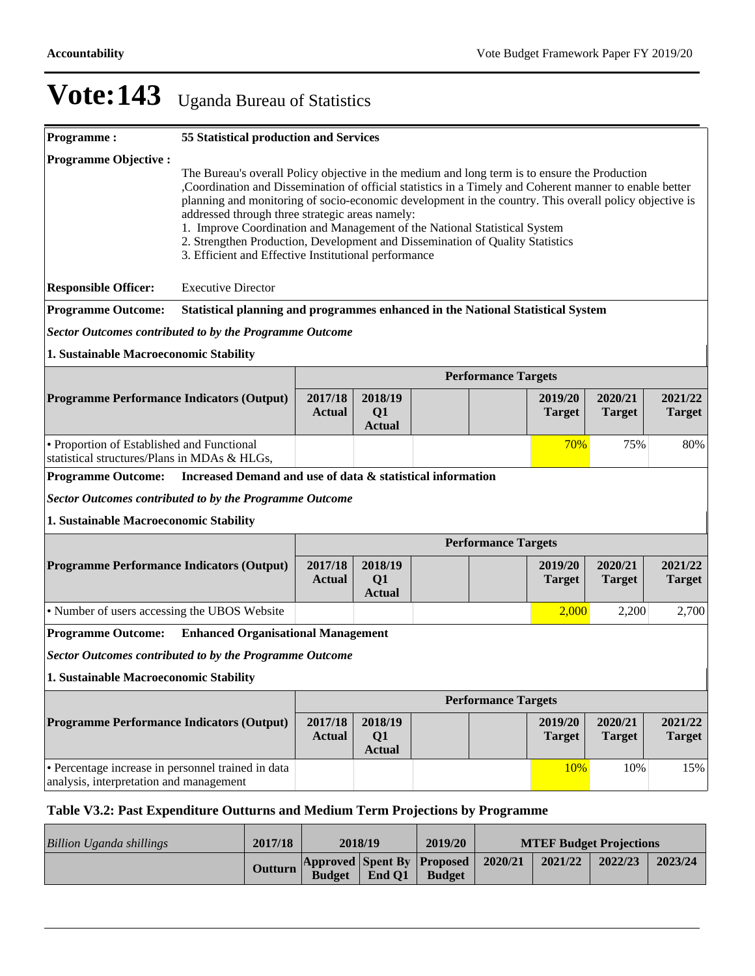| <b>Programme:</b>                                                                                        | 55 Statistical production and Services                                                                                                                                                                                                                                                                                                                                                                                                                                                                                                                                                       |                          |                                |  |                            |                          |                          |                          |
|----------------------------------------------------------------------------------------------------------|----------------------------------------------------------------------------------------------------------------------------------------------------------------------------------------------------------------------------------------------------------------------------------------------------------------------------------------------------------------------------------------------------------------------------------------------------------------------------------------------------------------------------------------------------------------------------------------------|--------------------------|--------------------------------|--|----------------------------|--------------------------|--------------------------|--------------------------|
| <b>Programme Objective:</b>                                                                              | The Bureau's overall Policy objective in the medium and long term is to ensure the Production<br>, Coordination and Dissemination of official statistics in a Timely and Coherent manner to enable better<br>planning and monitoring of socio-economic development in the country. This overall policy objective is<br>addressed through three strategic areas namely:<br>1. Improve Coordination and Management of the National Statistical System<br>2. Strengthen Production, Development and Dissemination of Quality Statistics<br>3. Efficient and Effective Institutional performance |                          |                                |  |                            |                          |                          |                          |
| <b>Responsible Officer:</b>                                                                              | <b>Executive Director</b>                                                                                                                                                                                                                                                                                                                                                                                                                                                                                                                                                                    |                          |                                |  |                            |                          |                          |                          |
| <b>Programme Outcome:</b>                                                                                | Statistical planning and programmes enhanced in the National Statistical System                                                                                                                                                                                                                                                                                                                                                                                                                                                                                                              |                          |                                |  |                            |                          |                          |                          |
| <b>Sector Outcomes contributed to by the Programme Outcome</b>                                           |                                                                                                                                                                                                                                                                                                                                                                                                                                                                                                                                                                                              |                          |                                |  |                            |                          |                          |                          |
| 1. Sustainable Macroeconomic Stability                                                                   |                                                                                                                                                                                                                                                                                                                                                                                                                                                                                                                                                                                              |                          |                                |  |                            |                          |                          |                          |
|                                                                                                          |                                                                                                                                                                                                                                                                                                                                                                                                                                                                                                                                                                                              |                          |                                |  | <b>Performance Targets</b> |                          |                          |                          |
| <b>Programme Performance Indicators (Output)</b>                                                         |                                                                                                                                                                                                                                                                                                                                                                                                                                                                                                                                                                                              | 2017/18<br><b>Actual</b> | 2018/19<br>Q1<br><b>Actual</b> |  |                            | 2019/20<br><b>Target</b> | 2020/21<br><b>Target</b> | 2021/22<br><b>Target</b> |
| • Proportion of Established and Functional<br>75%<br>70%<br>statistical structures/Plans in MDAs & HLGs. |                                                                                                                                                                                                                                                                                                                                                                                                                                                                                                                                                                                              |                          |                                |  |                            |                          | 80%                      |                          |
| <b>Programme Outcome:</b>                                                                                | Increased Demand and use of data & statistical information                                                                                                                                                                                                                                                                                                                                                                                                                                                                                                                                   |                          |                                |  |                            |                          |                          |                          |
| <b>Sector Outcomes contributed to by the Programme Outcome</b>                                           |                                                                                                                                                                                                                                                                                                                                                                                                                                                                                                                                                                                              |                          |                                |  |                            |                          |                          |                          |
| 1. Sustainable Macroeconomic Stability                                                                   |                                                                                                                                                                                                                                                                                                                                                                                                                                                                                                                                                                                              |                          |                                |  |                            |                          |                          |                          |
|                                                                                                          |                                                                                                                                                                                                                                                                                                                                                                                                                                                                                                                                                                                              |                          |                                |  | <b>Performance Targets</b> |                          |                          |                          |
| <b>Programme Performance Indicators (Output)</b>                                                         |                                                                                                                                                                                                                                                                                                                                                                                                                                                                                                                                                                                              | 2017/18<br><b>Actual</b> | 2018/19<br>Q1<br><b>Actual</b> |  |                            | 2019/20<br><b>Target</b> | 2020/21<br><b>Target</b> | 2021/22<br><b>Target</b> |
| • Number of users accessing the UBOS Website                                                             |                                                                                                                                                                                                                                                                                                                                                                                                                                                                                                                                                                                              |                          |                                |  |                            | 2,000                    | 2,200                    | 2,700                    |
| <b>Programme Outcome:</b>                                                                                | <b>Enhanced Organisational Management</b>                                                                                                                                                                                                                                                                                                                                                                                                                                                                                                                                                    |                          |                                |  |                            |                          |                          |                          |
| <b>Sector Outcomes contributed to by the Programme Outcome</b>                                           |                                                                                                                                                                                                                                                                                                                                                                                                                                                                                                                                                                                              |                          |                                |  |                            |                          |                          |                          |
| 1. Sustainable Macroeconomic Stability                                                                   |                                                                                                                                                                                                                                                                                                                                                                                                                                                                                                                                                                                              |                          |                                |  |                            |                          |                          |                          |
| <b>Performance Targets</b>                                                                               |                                                                                                                                                                                                                                                                                                                                                                                                                                                                                                                                                                                              |                          |                                |  |                            |                          |                          |                          |
| <b>Programme Performance Indicators (Output)</b>                                                         |                                                                                                                                                                                                                                                                                                                                                                                                                                                                                                                                                                                              | 2017/18<br><b>Actual</b> | 2018/19<br>Q1<br><b>Actual</b> |  |                            | 2019/20<br><b>Target</b> | 2020/21<br><b>Target</b> | 2021/22<br><b>Target</b> |
| · Percentage increase in personnel trained in data<br>10%<br>analysis, interpretation and management     |                                                                                                                                                                                                                                                                                                                                                                                                                                                                                                                                                                                              |                          |                                |  |                            | 10%                      | 15%                      |                          |

## **Table V3.2: Past Expenditure Outturns and Medium Term Projections by Programme**

| Billion Uganda shillings | 2017/18        | 2018/19       |        | 2019/20                                            | <b>MTEF Budget Projections</b> |         |         |         |
|--------------------------|----------------|---------------|--------|----------------------------------------------------|--------------------------------|---------|---------|---------|
|                          | <b>Outturn</b> | <b>Budget</b> | End O1 | <b>Approved Spent By Proposed</b><br><b>Budget</b> | $-2020/21$                     | 2021/22 | 2022/23 | 2023/24 |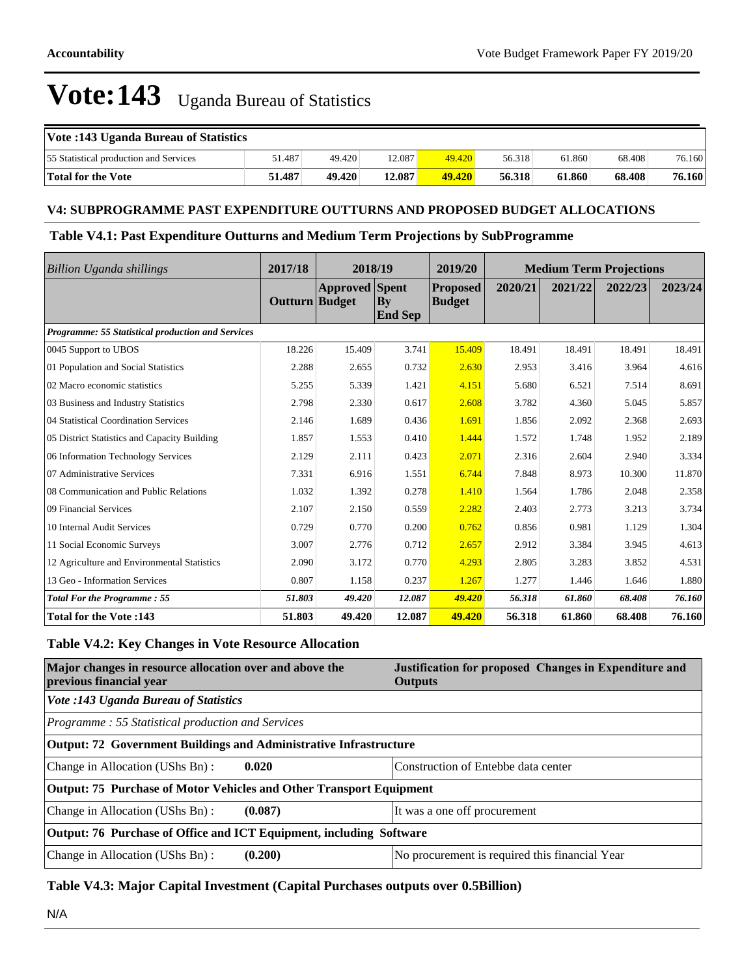| Vote :143 Uganda Bureau of Statistics  |        |        |        |        |        |        |        |        |
|----------------------------------------|--------|--------|--------|--------|--------|--------|--------|--------|
| 55 Statistical production and Services | 51.487 | 49.420 | 12.087 | 49.420 | 56.318 | 61.860 | 68.408 | 76.160 |
| Total for the Vote                     | 51.487 | 49.420 | 12.087 | 49.420 | 56.318 | 61.860 | 68.408 | 76.160 |

#### **V4: SUBPROGRAMME PAST EXPENDITURE OUTTURNS AND PROPOSED BUDGET ALLOCATIONS**

#### **Table V4.1: Past Expenditure Outturns and Medium Term Projections by SubProgramme**

| <b>Billion Uganda shillings</b>                   | 2017/18        | 2018/19               |                                          | 2019/20                          | <b>Medium Term Projections</b> |         |         |         |
|---------------------------------------------------|----------------|-----------------------|------------------------------------------|----------------------------------|--------------------------------|---------|---------|---------|
|                                                   | Outturn Budget | <b>Approved</b> Spent | $\mathbf{B}\mathbf{y}$<br><b>End Sep</b> | <b>Proposed</b><br><b>Budget</b> | 2020/21                        | 2021/22 | 2022/23 | 2023/24 |
| Programme: 55 Statistical production and Services |                |                       |                                          |                                  |                                |         |         |         |
| 0045 Support to UBOS                              | 18.226         | 15.409                | 3.741                                    | 15.409                           | 18.491                         | 18.491  | 18.491  | 18.491  |
| 01 Population and Social Statistics               | 2.288          | 2.655                 | 0.732                                    | 2.630                            | 2.953                          | 3.416   | 3.964   | 4.616   |
| 02 Macro economic statistics                      | 5.255          | 5.339                 | 1.421                                    | 4.151                            | 5.680                          | 6.521   | 7.514   | 8.691   |
| 03 Business and Industry Statistics               | 2.798          | 2.330                 | 0.617                                    | 2.608                            | 3.782                          | 4.360   | 5.045   | 5.857   |
| 04 Statistical Coordination Services              | 2.146          | 1.689                 | 0.436                                    | 1.691                            | 1.856                          | 2.092   | 2.368   | 2.693   |
| 05 District Statistics and Capacity Building      | 1.857          | 1.553                 | 0.410                                    | 1.444                            | 1.572                          | 1.748   | 1.952   | 2.189   |
| 06 Information Technology Services                | 2.129          | 2.111                 | 0.423                                    | 2.071                            | 2.316                          | 2.604   | 2.940   | 3.334   |
| 07 Administrative Services                        | 7.331          | 6.916                 | 1.551                                    | 6.744                            | 7.848                          | 8.973   | 10.300  | 11.870  |
| 08 Communication and Public Relations             | 1.032          | 1.392                 | 0.278                                    | 1.410                            | 1.564                          | 1.786   | 2.048   | 2.358   |
| 09 Financial Services                             | 2.107          | 2.150                 | 0.559                                    | 2.282                            | 2.403                          | 2.773   | 3.213   | 3.734   |
| 10 Internal Audit Services                        | 0.729          | 0.770                 | 0.200                                    | 0.762                            | 0.856                          | 0.981   | 1.129   | 1.304   |
| 11 Social Economic Surveys                        | 3.007          | 2.776                 | 0.712                                    | 2.657                            | 2.912                          | 3.384   | 3.945   | 4.613   |
| 12 Agriculture and Environmental Statistics       | 2.090          | 3.172                 | 0.770                                    | 4.293                            | 2.805                          | 3.283   | 3.852   | 4.531   |
| 13 Geo - Information Services                     | 0.807          | 1.158                 | 0.237                                    | 1.267                            | 1.277                          | 1.446   | 1.646   | 1.880   |
| <b>Total For the Programme: 55</b>                | 51.803         | 49.420                | 12.087                                   | 49.420                           | 56.318                         | 61.860  | 68.408  | 76.160  |
| Total for the Vote: 143                           | 51.803         | 49.420                | 12.087                                   | 49.420                           | 56.318                         | 61.860  | 68.408  | 76.160  |

### **Table V4.2: Key Changes in Vote Resource Allocation**

| Major changes in resource allocation over and above the<br>previous financial year | Justification for proposed Changes in Expenditure and<br><b>Outputs</b> |  |  |  |  |  |  |
|------------------------------------------------------------------------------------|-------------------------------------------------------------------------|--|--|--|--|--|--|
| <b>Vote :143 Uganda Bureau of Statistics</b>                                       |                                                                         |  |  |  |  |  |  |
| Programme: 55 Statistical production and Services                                  |                                                                         |  |  |  |  |  |  |
| Output: 72 Government Buildings and Administrative Infrastructure                  |                                                                         |  |  |  |  |  |  |
| Change in Allocation (UShs Bn):<br>0.020                                           | Construction of Entebbe data center                                     |  |  |  |  |  |  |
| Output: 75 Purchase of Motor Vehicles and Other Transport Equipment                |                                                                         |  |  |  |  |  |  |
| Change in Allocation (UShs Bn):<br>(0.087)                                         | It was a one off procurement                                            |  |  |  |  |  |  |
| Output: 76 Purchase of Office and ICT Equipment, including Software                |                                                                         |  |  |  |  |  |  |
| Change in Allocation (UShs Bn):<br>(0.200)                                         | No procurement is required this financial Year                          |  |  |  |  |  |  |

### **Table V4.3: Major Capital Investment (Capital Purchases outputs over 0.5Billion)**